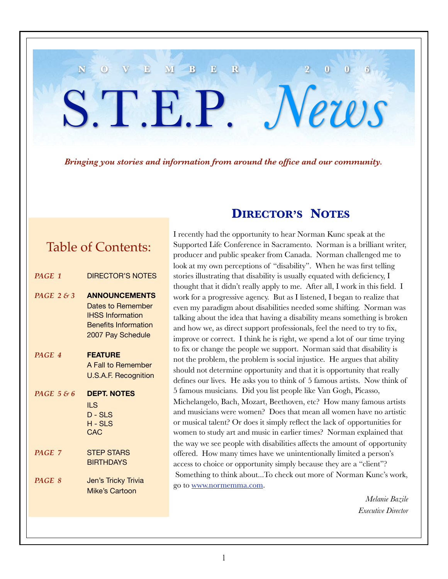# *Bringing you stories and information from around the office and our community.*

**N O V E M B E R 2 0 0 6**

S.T.E.P. *News*

# Table of Contents:

| PAGE 1        | <b>DIRECTOR'S NOTES</b>                                                                                                  |
|---------------|--------------------------------------------------------------------------------------------------------------------------|
| PAGE $2 \& 3$ | <b>ANNOUNCEMENTS</b><br>Dates to Remember<br><b>IHSS Information</b><br><b>Benefits Information</b><br>2007 Pay Schedule |
| PAGE 4        | <b>FEATURE</b><br>A Fall to Remember<br><b>U.S.A.F. Recognition</b>                                                      |
| PAGE $586$    | <b>DEPT. NOTES</b><br>ILS<br>$D - SLS$<br>H-SLS<br><b>CAC</b>                                                            |
| PAGE 7        | <b>STEP STARS</b><br><b>BIRTHDAYS</b>                                                                                    |
| PAGE 8        | Jen's Tricky Trivia<br><b>Mike's Cartoon</b>                                                                             |

# **DIRECTOR'S NOTES**

I recently had the opportunity to hear Norman Kunc speak at the Supported Life Conference in Sacramento. Norman is a brilliant writer, producer and public speaker from Canada. Norman challenged me to look at my own perceptions of "disability". When he was first telling stories illustrating that disability is usually equated with deficiency, I thought that it didn't really apply to me. After all, I work in this field. I work for a progressive agency. But as I listened, I began to realize that even my paradigm about disabilities needed some shifting. Norman was talking about the idea that having a disability means something is broken and how we, as direct support professionals, feel the need to try to fix, improve or correct. I think he is right, we spend a lot of our time trying to fix or change the people we support. Norman said that disability is not the problem, the problem is social injustice. He argues that ability should not determine opportunity and that it is opportunity that really defines our lives. He asks you to think of 5 famous artists. Now think of 5 famous musicians. Did you list people like Van Gogh, Picasso, Michelangelo, Bach, Mozart, Beethoven, etc? How many famous artists and musicians were women? Does that mean all women have no artistic or musical talent? Or does it simply reflect the lack of opportunities for women to study art and music in earlier times? Norman explained that the way we see people with disabilities affects the amount of opportunity offered. How many times have we unintentionally limited a person's access to choice or opportunity simply because they are a "client"? Something to think about...To check out more of Norman Kunc's work, go to www.normemma.com.

> *Melanie Bazile Executive Director*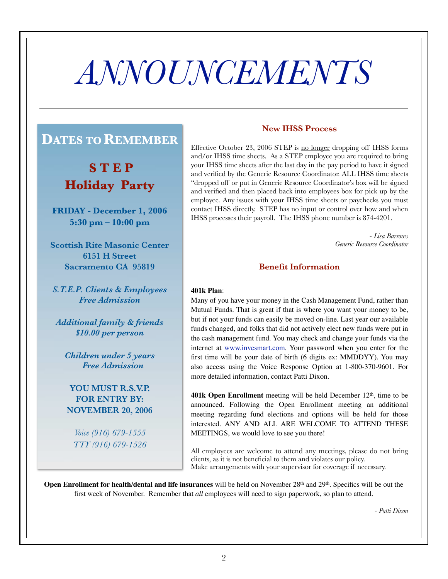# *ANNOUNCEMENTS*

# **DATES TO REMEMBER**

**S T E P Holiday Party**

**FRIDAY - December 1, 2006 5:30 pm – 10:00 pm**

**Scottish Rite Masonic Center 6151 H Street Sacramento CA 95819**

*S.T.E.P. Clients & Employees Free Admission*

*Additional family & friends \$10.00 per person*

*Children under 5 years Free Admission*

**YOU MUST R.S.V.P. FOR ENTRY BY: NOVEMBER 20, 2006**

*Voice (916) 679-1555 TTY (916) 679-1526*

### **New IHSS Process**

Effective October 23, 2006 STEP is no longer dropping off IHSS forms and/or IHSS time sheets. As a STEP employee you are required to bring your IHSS time sheets after the last day in the pay period to have it signed and verified by the Generic Resource Coordinator. ALL IHSS time sheets "dropped off or put in Generic Resource Coordinator's box will be signed and verified and then placed back into employees box for pick up by the employee. Any issues with your IHSS time sheets or paychecks you must contact IHSS directly. STEP has no input or control over how and when IHSS processes their payroll. The IHSS phone number is 874-4201.

> *- Lisa Barrows Generic Resource Coordinator*

#### **Benefit Information**

#### **401k Plan**:

Many of you have your money in the Cash Management Fund, rather than Mutual Funds. That is great if that is where you want your money to be, but if not your funds can easily be moved on-line. Last year our available funds changed, and folks that did not actively elect new funds were put in the cash management fund. You may check and change your funds via the internet at www.invesmart.com. Your password when you enter for the first time will be your date of birth (6 digits ex: MMDDYY). You may also access using the Voice Response Option at 1-800-370-9601. For more detailed information, contact Patti Dixon.

**401k Open Enrollment** meeting will be held December 12th, time to be announced. Following the Open Enrollment meeting an additional meeting regarding fund elections and options will be held for those interested. ANY AND ALL ARE WELCOME TO ATTEND THESE MEETINGS, we would love to see you there!

All employees are welcome to attend any meetings, please do not bring clients, as it is not beneficial to them and violates our policy. Make arrangements with your supervisor for coverage if necessary.

**Open Enrollment for health/dental and life insurances** will be held on November 28<sup>th</sup> and 29<sup>th</sup>. Specifics will be out the first week of November. Remember that *all* employees will need to sign paperwork, so plan to attend.

*- Patti Dixon*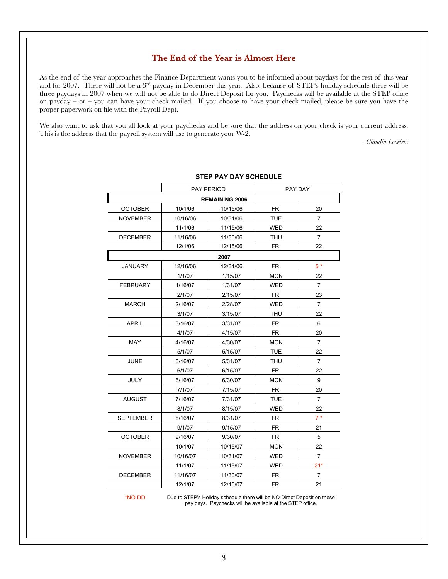#### **The End of the Year is Almost Here**

As the end of the year approaches the Finance Department wants you to be informed about paydays for the rest of this year and for 2007. There will not be a 3rd payday in December this year. Also, because of STEP's holiday schedule there will be three paydays in 2007 when we will not be able to do Direct Deposit for you. Paychecks will be available at the STEP office on payday – or – you can have your check mailed. If you choose to have your check mailed, please be sure you have the proper paperwork on file with the Payroll Dept.

We also want to ask that you all look at your paychecks and be sure that the address on your check is your current address. This is the address that the payroll system will use to generate your W-2.

*- Claudia Loveless*

|                       | PAY PERIOD |          | PAY DAY    |                |  |  |
|-----------------------|------------|----------|------------|----------------|--|--|
| <b>REMAINING 2006</b> |            |          |            |                |  |  |
| <b>OCTOBER</b>        | 10/1/06    | 10/15/06 | <b>FRI</b> | 20             |  |  |
| <b>NOVEMBER</b>       | 10/16/06   | 10/31/06 | <b>TUE</b> | $\overline{7}$ |  |  |
|                       | 11/1/06    | 11/15/06 | <b>WED</b> | 22             |  |  |
| <b>DECEMBER</b>       | 11/16/06   | 11/30/06 | <b>THU</b> | $\overline{7}$ |  |  |
|                       | 12/1/06    | 12/15/06 | <b>FRI</b> | 22             |  |  |
|                       |            | 2007     |            |                |  |  |
| <b>JANUARY</b>        | 12/16/06   | 12/31/06 | <b>FRI</b> | $5*$           |  |  |
|                       | 1/1/07     | 1/15/07  | <b>MON</b> | 22             |  |  |
| <b>FEBRUARY</b>       | 1/16/07    | 1/31/07  | <b>WED</b> | $\overline{7}$ |  |  |
|                       | 2/1/07     | 2/15/07  | <b>FRI</b> | 23             |  |  |
| <b>MARCH</b>          | 2/16/07    | 2/28/07  | <b>WED</b> | $\overline{7}$ |  |  |
|                       | 3/1/07     | 3/15/07  | <b>THU</b> | 22             |  |  |
| <b>APRIL</b>          | 3/16/07    | 3/31/07  | <b>FRI</b> | 6              |  |  |
|                       | 4/1/07     | 4/15/07  | FRI        | 20             |  |  |
| <b>MAY</b>            | 4/16/07    | 4/30/07  | <b>MON</b> | $\overline{7}$ |  |  |
|                       | 5/1/07     | 5/15/07  | <b>TUE</b> | 22             |  |  |
| <b>JUNE</b>           | 5/16/07    | 5/31/07  | <b>THU</b> | $\overline{7}$ |  |  |
|                       | 6/1/07     | 6/15/07  | <b>FRI</b> | 22             |  |  |
| <b>JULY</b>           | 6/16/07    | 6/30/07  | <b>MON</b> | 9              |  |  |
|                       | 7/1/07     | 7/15/07  | <b>FRI</b> | 20             |  |  |
| <b>AUGUST</b>         | 7/16/07    | 7/31/07  | <b>TUE</b> | $\overline{7}$ |  |  |
|                       | 8/1/07     | 8/15/07  | <b>WED</b> | 22             |  |  |
| <b>SEPTEMBER</b>      | 8/16/07    | 8/31/07  | <b>FRI</b> | $7*$           |  |  |
|                       | 9/1/07     | 9/15/07  | <b>FRI</b> | 21             |  |  |
| <b>OCTOBER</b>        | 9/16/07    | 9/30/07  | FRI        | 5              |  |  |
|                       | 10/1/07    | 10/15/07 | <b>MON</b> | 22             |  |  |
| <b>NOVEMBER</b>       | 10/16/07   | 10/31/07 | <b>WED</b> | $\overline{7}$ |  |  |
|                       | 11/1/07    | 11/15/07 | <b>WED</b> | $21*$          |  |  |
| <b>DECEMBER</b>       | 11/16/07   | 11/30/07 | <b>FRI</b> | $\overline{7}$ |  |  |
|                       | 12/1/07    | 12/15/07 | <b>FRI</b> | 21             |  |  |

#### **STEP PAY DAY SCHEDULE**

\*NO DD

Due to STEP's Holiday schedule there will be NO Direct Deposit on these pay days. Paychecks will be available at the STEP office.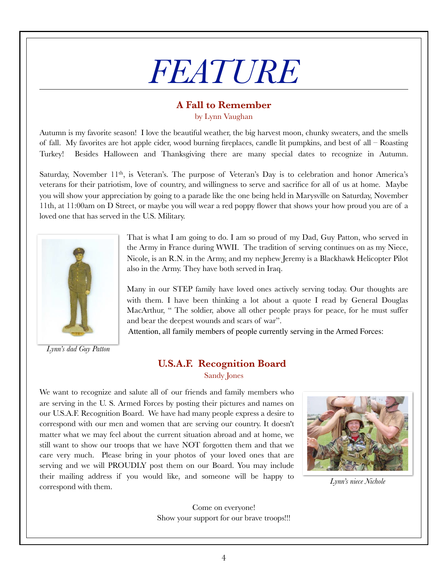# *FEATURE*

## **A Fall to Remember**

by Lynn Vaughan

Autumn is my favorite season! I love the beautiful weather, the big harvest moon, chunky sweaters, and the smells of fall. My favorites are hot apple cider, wood burning fireplaces, candle lit pumpkins, and best of all – Roasting Turkey! Besides Halloween and Thanksgiving there are many special dates to recognize in Autumn.

Saturday, November  $11<sup>th</sup>$ , is Veteran's. The purpose of Veteran's Day is to celebration and honor America's veterans for their patriotism, love of country, and willingness to serve and sacrifice for all of us at home. Maybe you will show your appreciation by going to a parade like the one being held in Marysville on Saturday, November 11th, at 11:00am on D Street, or maybe you will wear a red poppy flower that shows your how proud you are of a loved one that has served in the U.S. Military.



*Lynn's dad Guy Patton*

That is what I am going to do. I am so proud of my Dad, Guy Patton, who served in the Army in France during WWII. The tradition of serving continues on as my Niece, Nicole, is an R.N. in the Army, and my nephew Jeremy is a Blackhawk Helicopter Pilot also in the Army. They have both served in Iraq.

Many in our STEP family have loved ones actively serving today. Our thoughts are with them. I have been thinking a lot about a quote I read by General Douglas MacArthur, " The soldier, above all other people prays for peace, for he must suffer and bear the deepest wounds and scars of war".

Attention, all family members of people currently serving in the Armed Forces:

### **U.S.A.F. Recognition Board** Sandy Jones

We want to recognize and salute all of our friends and family members who are serving in the U. S. Armed Forces by posting their pictures and names on our U.S.A.F. Recognition Board. We have had many people express a desire to correspond with our men and women that are serving our country. It doesn't matter what we may feel about the current situation abroad and at home, we still want to show our troops that we have NOT forgotten them and that we care very much. Please bring in your photos of your loved ones that are serving and we will PROUDLY post them on our Board. You may include their mailing address if you would like, and someone will be happy to correspond with them.



*Lynn's niece Nichole*

Come on everyone! Show your support for our brave troops!!!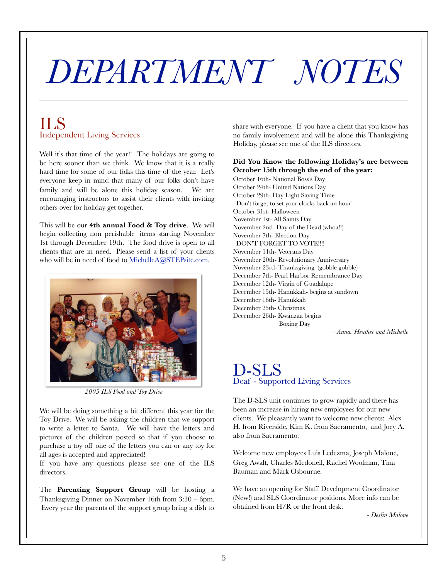# *DEPARTMENT NOTES*

# ILS Independent Living Services

Well it's that time of the year!! The holidays are going to be here sooner than we think. We know that it is a really hard time for some of our folks this time of the year. Let's everyone keep in mind that many of our folks don't have family and will be alone this holiday season. We are encouraging instructors to assist their clients with inviting others over for holiday get together.

This will be our **4th annual Food & Toy drive**. We will begin collecting non perishable items starting November 1st through December 19th. The food drive is open to all clients that are in need. Please send a list of your clients who will be in need of food to MichelleA@STEPsite.com.



*2005 ILS Food and Toy Drive*

We will be doing something a bit different this year for the Toy Drive. We will be asking the children that we support to write a letter to Santa. We will have the letters and pictures of the children posted so that if you choose to purchase a toy off one of the letters you can or any toy for all ages is accepted and appreciated!

If you have any questions please see one of the ILS directors.

The **Parenting Support Group** will be hosting a Thanksgiving Dinner on November 16th from 3:30 – 6pm. Every year the parents of the support group bring a dish to share with everyone. If you have a client that you know has no family involvement and will be alone this Thanksgiving Holiday, please see one of the ILS directors.

#### **Did You Know the following Holiday's are between October 15th through the end of the year:**

October 16th- National Boss's Day October 24th- United Nations Day October 29th- Day Light Saving Time Don't forget to set your clocks back an hour! October 31st- Halloween November 1st- All Saints Day November 2nd- Day of the Dead (whoa!!) November 7th- Election Day DON'T FORGET TO VOTE!!!! November 11th- Veterans Day November 20th- Revolutionary Anniversary November 23rd- Thanksgiving (gobble gobble) December 7th- Pearl Harbor Remembrance Day December 12th- Virgin of Guadalupe December 15th- Hanukkah- begins at sundown December 16th- Hanukkah December 25th- Christmas December 26th- Kwanzaa begins Boxing Day

*- Anna, Heather and Michelle*

# D-SLS Deaf - Supported Living Services

The D-SLS unit continues to grow rapidly and there has been an increase in hiring new employees for our new clients. We pleasantly want to welcome new clients: Alex H. from Riverside, Kim K. from Sacramento, and Joey A. also from Sacramento.

Welcome new employees Luis Ledezma, Joseph Malone, Greg Awalt, Charles Mcdonell, Rachel Woolman, Tina Bauman and Mark Osbourne.

We have an opening for Staff Development Coordinator (New!) and SLS Coordinator positions. More info can be obtained from H/R or the front desk.

*- Deslin Malone*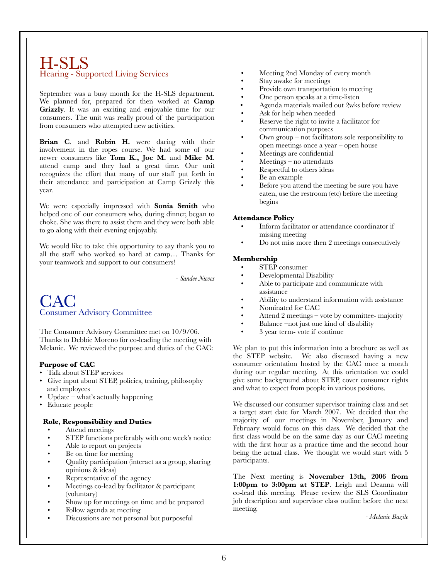## H-SLS Hearing - Supported Living Services

September was a busy month for the H-SLS department. We planned for, prepared for then worked at **Camp**  Grizzly. It was an exciting and enjoyable time for our consumers. The unit was really proud of the participation from consumers who attempted new activities.

**Brian C**. and **Robin H.** were daring with their involvement in the ropes course. We had some of our newer consumers like **Tom K., Joe M.** and **Mike M**. attend camp and they had a great time. Our unit recognizes the effort that many of our staff put forth in their attendance and participation at Camp Grizzly this year.

We were especially impressed with **Sonia Smith** who helped one of our consumers who, during dinner, began to choke. She was there to assist them and they were both able to go along with their evening enjoyably.

We would like to take this opportunity to say thank you to all the staff who worked so hard at camp… Thanks for your teamwork and support to our consumers!

*- Sandee Nieves*

# **CAC** Consumer Advisory Committee

The Consumer Advisory Committee met on 10/9/06. Thanks to Debbie Moreno for co-leading the meeting with Melanie. We reviewed the purpose and duties of the CAC:

#### **Purpose of CAC**

- Talk about STEP services
- Give input about STEP, policies, training, philosophy and employees
- Update what's actually happening
- Educate people

#### **Role, Responsibility and Duties**

- Attend meetings
- STEP functions preferably with one week's notice
- Able to report on projects
- Be on time for meeting
- Quality participation (interact as a group, sharing opinions & ideas)
- Representative of the agency
- Meetings co-lead by facilitator & participant (voluntary)
- Show up for meetings on time and be prepared
- Follow agenda at meeting
- Discussions are not personal but purposeful
- Meeting 2nd Monday of every month
- Stay awake for meetings
- Provide own transportation to meeting
- One person speaks at a time-listen
- Agenda materials mailed out 2wks before review
- Ask for help when needed
- Reserve the right to invite a facilitator for communication purposes
- Own group not facilitators sole responsibility to open meetings once a year – open house
- Meetings are confidential
- $Meetings$  no attendants
- Respectful to others ideas
- Be an example
- Before you attend the meeting be sure you have eaten, use the restroom (etc) before the meeting begins

#### **Attendance Policy**

- Inform facilitator or attendance coordinator if missing meeting
- Do not miss more then 2 meetings consecutively

#### **Membership**

- STEP consumer
- Developmental Disability
- Able to participate and communicate with assistance
- Ability to understand information with assistance
- Nominated for CAC
- Attend 2 meetings vote by committee- majority
- Balance –not just one kind of disability
- 3 year term- vote if continue

We plan to put this information into a brochure as well as the STEP website. We also discussed having a new consumer orientation hosted by the CAC once a month during our regular meeting. At this orientation we could give some background about STEP, cover consumer rights and what to expect from people in various positions.

We discussed our consumer supervisor training class and set a target start date for March 2007. We decided that the majority of our meetings in November, January and February would focus on this class. We decided that the first class would be on the same day as our CAC meeting with the first hour as a practice time and the second hour being the actual class. We thought we would start with 5 participants.

The Next meeting is **November 13th, 2006 from 1:00pm to 3:00pm at STEP**. Leigh and Deanna will co-lead this meeting. Please review the SLS Coordinator job description and supervisor class outline before the next meeting.

*- Melanie Bazile*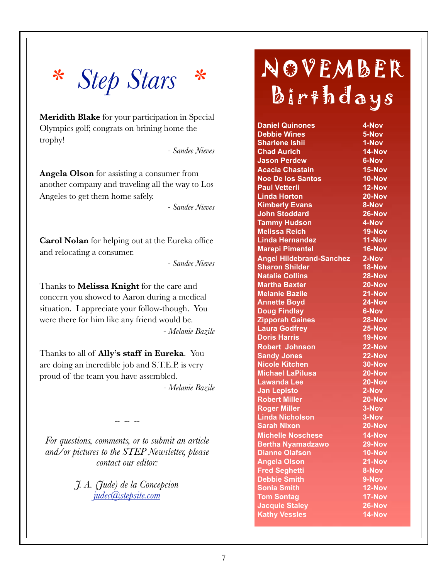

**Meridith Blake** for your participation in Special Olympics golf; congrats on brining home the trophy!

*- Sandee Nieves*

**Angela Olson** for assisting a consumer from another company and traveling all the way to Los Angeles to get them home safely.

*- Sandee Nieves*

**Carol Nolan** for helping out at the Eureka office and relocating a consumer.

*- Sandee Nieves*

Thanks to **Melissa Knight** for the care and concern you showed to Aaron during a medical situation. I appreciate your follow-though. You were there for him like any friend would be. *- Melanie Bazile*

Thanks to all of **Ally's staff in Eureka**. You are doing an incredible job and S.T.E.P. is very proud of the team you have assembled.

*- Melanie Bazile*

*For questions, comments, or to submit an article and/or pictures to the STEP Newsletter, please contact our editor:*

-- -- --

*J. A. (Jude) de la Concepcion judec@stepsite.com*

# NOVEMBER Birthdays

| <b>Daniel Quinones</b>          | 4-Nov         |
|---------------------------------|---------------|
| <b>Debbie Wines</b>             | 5-Nov         |
| <b>Sharlene Ishii</b>           | $1-Nov$       |
| <b>Chad Aurich</b>              | 14-Nov        |
| <b>Jason Perdew</b>             | 6-Nov         |
| <b>Acacia Chastain</b>          | 15-Nov        |
| <b>Noe De los Santos</b>        | $10 - Nov$    |
| <b>Paul Vetterli</b>            | $12-Nov$      |
| <b>Linda Horton</b>             | 20-Nov        |
| <b>Kimberly Evans</b>           | 8-Nov         |
| <b>John Stoddard</b>            | 26-Nov        |
| <b>Tammy Hudson</b>             | 4-Nov         |
| <b>Melissa Reich</b>            | <b>19-Nov</b> |
| Linda Hernandez                 | 11-Nov        |
| <b>Marepi Pimentel</b>          | 16-Nov        |
| <b>Angel Hildebrand-Sanchez</b> | 2-Nov         |
| <b>Sharon Shilder</b>           | 18-Nov        |
| <b>Natalie Collins</b>          | 28-Nov        |
| <b>Martha Baxter</b>            | 20-Nov        |
| <b>Melanie Bazile</b>           | 21-Nov        |
| <b>Annette Boyd</b>             | 24-Nov        |
| <b>Doug Findlay</b>             | 6-Nov         |
| <b>Zipporah Gaines</b>          | 28-Nov        |
| <b>Laura Godfrey</b>            | 25-Nov        |
| <b>Doris Harris</b>             | $19-Nov$      |
| <b>Robert Johnson</b>           | 22-Nov        |
| <b>Sandy Jones</b>              | 22-Nov        |
| <b>Nicole Kitchen</b>           | 30-Nov        |
| <b>Michael LaPilusa</b>         | 20-Nov        |
| <b>Lawanda Lee</b>              | 20-Nov        |
| <b>Jan Lepisto</b>              | 2-Nov         |
| <b>Robert Miller</b>            | $20 - Nov$    |
| <b>Roger Miller</b>             | 3-Nov         |
| <b>Linda Nicholson</b>          | 3-Nov         |
| <b>Sarah Nixon</b>              | 20-Nov        |
| <b>Michelle Noschese</b>        | 14-Nov        |
| <b>Bertha Nyamadzawo</b>        | $29 - Nov$    |
| Dianne Olafson                  | 10-Nov        |
| <b>Angela Olson</b>             | $21 - NoV$    |
| <b>Fred Seghetti</b>            | 8-Nov         |
| <b>Debbie Smith</b>             | 9-Nov         |
| <b>Sonia Smith</b>              | 12-Nov        |
| <b>Tom Sontag</b>               | 17-Nov        |
| <b>Jacquie Staley</b>           | 26-Nov        |
| <b>Kathy Vessles</b>            | 14-Nov        |